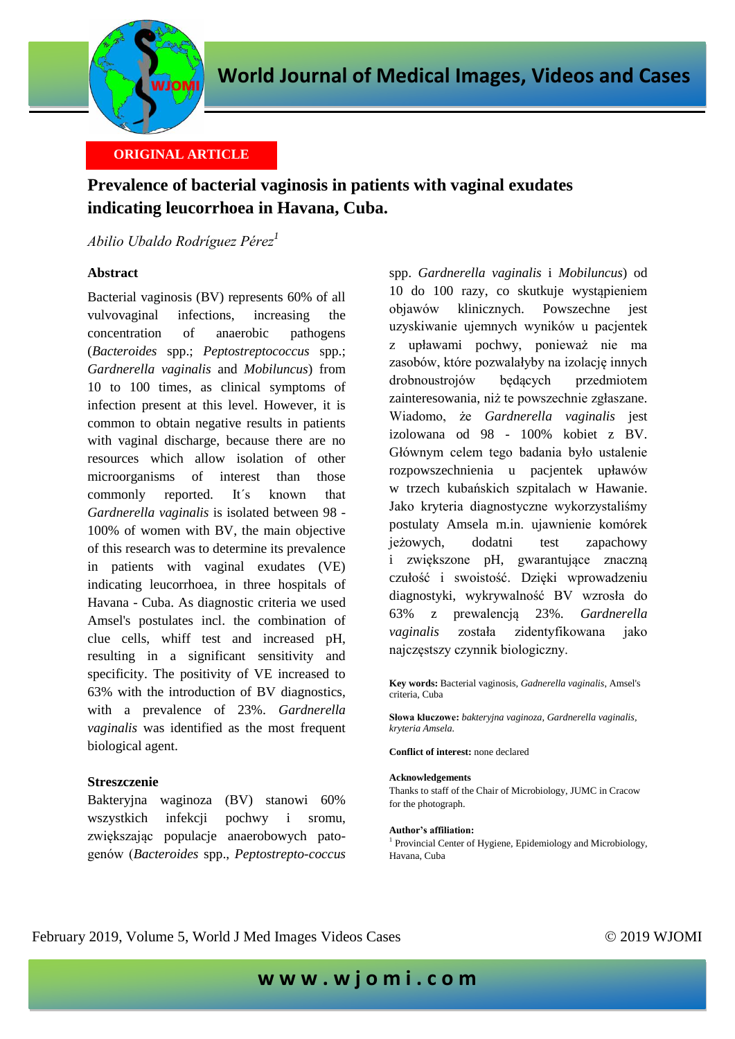

# **ORIGINAL ARTICLE**

# **Prevalence of bacterial vaginosis in patients with vaginal exudates indicating leucorrhoea in Havana, Cuba.**

## *Abilio Ubaldo Rodríguez Pérez<sup>1</sup>*

### **Abstract**

Bacterial vaginosis (BV) represents 60% of all vulvovaginal infections, increasing the concentration of anaerobic pathogens (*Bacteroides* spp.; *Peptostreptococcus* spp.; *Gardnerella vaginalis* and *Mobiluncus*) from 10 to 100 times, as clinical symptoms of infection present at this level. However, it is common to obtain negative results in patients with vaginal discharge, because there are no resources which allow isolation of other microorganisms of interest than those commonly reported. It´s known that *Gardnerella vaginalis* is isolated between 98 - 100% of women with BV, the main objective of this research was to determine its prevalence in patients with vaginal exudates (VE) indicating leucorrhoea, in three hospitals of Havana - Cuba. As diagnostic criteria we used Amsel's postulates incl. the combination of clue cells, whiff test and increased pH, resulting in a significant sensitivity and specificity. The positivity of VE increased to 63% with the introduction of BV diagnostics, with a prevalence of 23%. *Gardnerella vaginalis* was identified as the most frequent biological agent.

#### **Streszczenie**

Bakteryjna waginoza (BV) stanowi 60% wszystkich infekcji pochwy i sromu, zwiększając populacje anaerobowych patogenów (*Bacteroides* spp., *Peptostrepto-coccus* 

spp. *Gardnerella vaginalis* i *Mobiluncus*) od 10 do 100 razy, co skutkuje wystąpieniem objawów klinicznych. Powszechne jest uzyskiwanie ujemnych wyników u pacjentek z upławami pochwy, ponieważ nie ma zasobów, które pozwalałyby na izolację innych drobnoustrojów będących przedmiotem zainteresowania, niż te powszechnie zgłaszane. Wiadomo, że *Gardnerella vaginalis* jest izolowana od 98 - 100% kobiet z BV. Głównym celem tego badania było ustalenie rozpowszechnienia u pacjentek upławów w trzech kubańskich szpitalach w Hawanie. Jako kryteria diagnostyczne wykorzystaliśmy postulaty Amsela m.in. ujawnienie komórek jeżowych, dodatni test zapachowy i zwiększone pH, gwarantujące znaczną czułość i swoistość. Dzięki wprowadzeniu diagnostyki, wykrywalność BV wzrosła do 63% z prewalencją 23%. *Gardnerella vaginalis* została zidentyfikowana jako najczęstszy czynnik biologiczny.

**Key words:** Bacterial vaginosis*, Gadnerella vaginalis*, Amsel's criteria, Cuba

**Słowa kluczowe:** *bakteryjna vaginoza, Gardnerella vaginalis, kryteria Amsela.*

**Conflict of interest:** none declared

#### **Acknowledgements**

Thanks to staff of the Chair of Microbiology, JUMC in Cracow for the photograph.

#### **Author's affiliation:**

<sup>1</sup> Provincial Center of Hygiene, Epidemiology and Microbiology, Havana, Cuba

## February 2019, Volume 5, World J Med Images Videos Cases © 2019 WJOMI

**w w w . w j o m i . c o m**